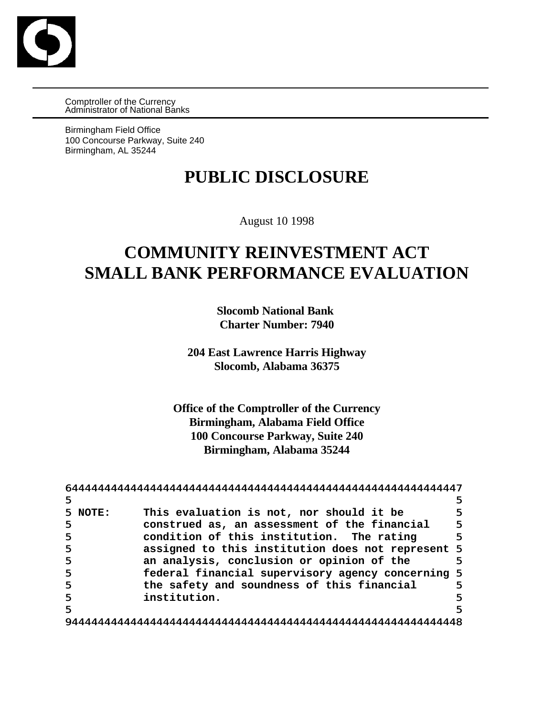

Comptroller of the Currency Administrator of National Banks

Birmingham Field Office 100 Concourse Parkway, Suite 240 Birmingham, AL 35244

# **PUBLIC DISCLOSURE**

August 10 1998

# **COMMUNITY REINVESTMENT ACT SMALL BANK PERFORMANCE EVALUATION**

**Slocomb National Bank Charter Number: 7940**

**204 East Lawrence Harris Highway Slocomb, Alabama 36375**

**Office of the Comptroller of the Currency Birmingham, Alabama Field Office 100 Concourse Parkway, Suite 240 Birmingham, Alabama 35244**

| 5           |                                                   | 5 |
|-------------|---------------------------------------------------|---|
| NOTE:<br>5. | This evaluation is not, nor should it be          | 5 |
| 5           | construed as, an assessment of the financial      | 5 |
| 5           | condition of this institution. The rating         | 5 |
| 5           | assigned to this institution does not represent 5 |   |
| 5           | an analysis, conclusion or opinion of the         | 5 |
| 5           | federal financial supervisory agency concerning 5 |   |
| 5           | the safety and soundness of this financial        | 5 |
| 5           | institution.                                      | 5 |
| 5           |                                                   | 5 |
|             |                                                   |   |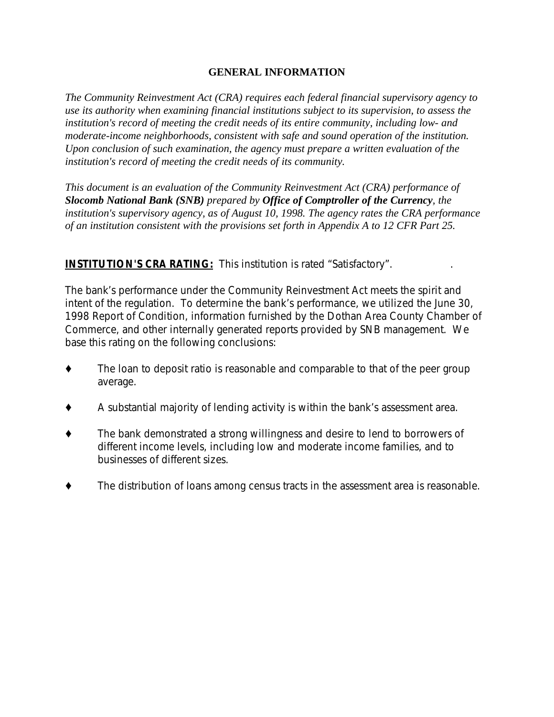#### **GENERAL INFORMATION**

*The Community Reinvestment Act (CRA) requires each federal financial supervisory agency to use its authority when examining financial institutions subject to its supervision, to assess the institution's record of meeting the credit needs of its entire community, including low- and moderate-income neighborhoods, consistent with safe and sound operation of the institution. Upon conclusion of such examination, the agency must prepare a written evaluation of the institution's record of meeting the credit needs of its community.* 

*This document is an evaluation of the Community Reinvestment Act (CRA) performance of Slocomb National Bank (SNB) prepared by Office of Comptroller of the Currency, the institution's supervisory agency, as of August 10, 1998. The agency rates the CRA performance of an institution consistent with the provisions set forth in Appendix A to 12 CFR Part 25.*

#### **INSTITUTION'S CRA RATING:** This institution is rated "Satisfactory".

The bank's performance under the Community Reinvestment Act meets the spirit and intent of the regulation. To determine the bank's performance, we utilized the June 30, 1998 Report of Condition, information furnished by the Dothan Area County Chamber of Commerce, and other internally generated reports provided by SNB management. We base this rating on the following conclusions:

- $\bullet$  The loan to deposit ratio is reasonable and comparable to that of the peer group average.
- $\blacklozenge$  A substantial majority of lending activity is within the bank's assessment area.
- The bank demonstrated a strong willingness and desire to lend to borrowers of different income levels, including low and moderate income families, and to businesses of different sizes.
- $\blacklozenge$  The distribution of loans among census tracts in the assessment area is reasonable.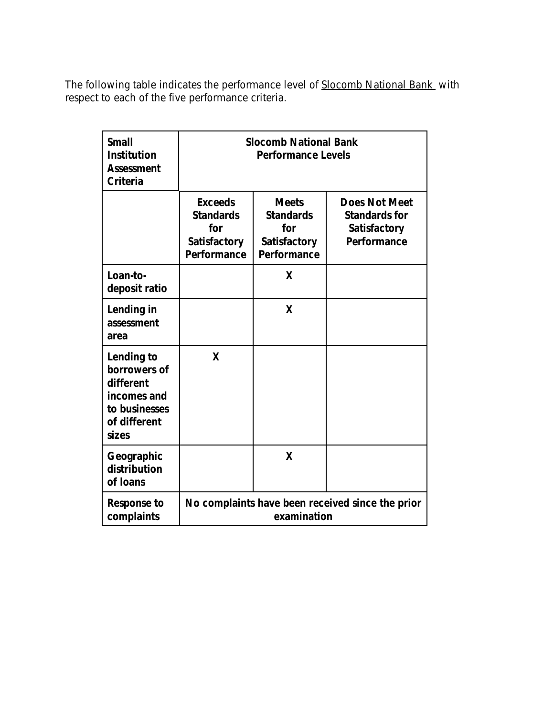*The following table indicates the performance level of Slocomb National Bank with respect to each of the five performance criteria.*

| <b>Small</b><br><b>Institution</b><br><b>Assessment</b><br><b>Criteria</b>                       | <b>Slocomb National Bank</b><br><b>Performance Levels</b>                |                                                                               |                                                                                    |  |  |
|--------------------------------------------------------------------------------------------------|--------------------------------------------------------------------------|-------------------------------------------------------------------------------|------------------------------------------------------------------------------------|--|--|
|                                                                                                  | <b>Exceeds</b><br><b>Standards</b><br>for<br>Satisfactory<br>Performance | <b>Meets</b><br><b>Standards</b><br>for<br><b>Satisfactory</b><br>Performance | <b>Does Not Meet</b><br><b>Standards for</b><br><b>Satisfactory</b><br>Performance |  |  |
| Loan-to-<br>deposit ratio                                                                        |                                                                          | X                                                                             |                                                                                    |  |  |
| Lending in<br>assessment<br>area                                                                 |                                                                          | X                                                                             |                                                                                    |  |  |
| Lending to<br>borrowers of<br>different<br>incomes and<br>to businesses<br>of different<br>sizes | X                                                                        |                                                                               |                                                                                    |  |  |
| Geographic<br>distribution<br>of loans                                                           |                                                                          | X                                                                             |                                                                                    |  |  |
| <b>Response to</b><br>complaints                                                                 | No complaints have been received since the prior<br>examination          |                                                                               |                                                                                    |  |  |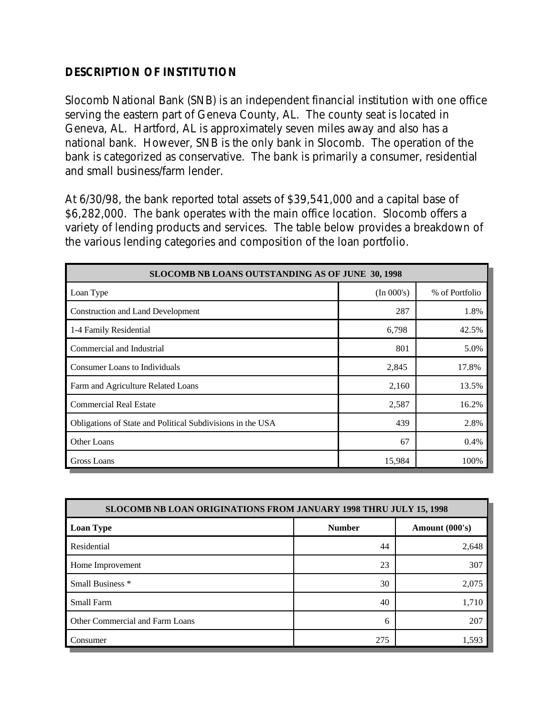#### **DESCRIPTION OF INSTITUTION**

Slocomb National Bank (SNB) is an independent financial institution with one office serving the eastern part of Geneva County, AL. The county seat is located in Geneva, AL. Hartford, AL is approximately seven miles away and also has a national bank. However, SNB is the only bank in Slocomb. The operation of the bank is categorized as conservative. The bank is primarily a consumer, residential and small business/farm lender.

At 6/30/98, the bank reported total assets of \$39,541,000 and a capital base of \$6,282,000. The bank operates with the main office location. Slocomb offers a variety of lending products and services. The table below provides a breakdown of the various lending categories and composition of the loan portfolio.

| SLOCOMB NB LOANS OUTSTANDING AS OF JUNE 30, 1998           |            |                |  |  |  |  |  |
|------------------------------------------------------------|------------|----------------|--|--|--|--|--|
| Loan Type                                                  | (In 000's) | % of Portfolio |  |  |  |  |  |
| <b>Construction and Land Development</b>                   | 287        | 1.8%           |  |  |  |  |  |
| 1-4 Family Residential                                     | 6,798      | 42.5%          |  |  |  |  |  |
| Commercial and Industrial                                  | 801        | 5.0%           |  |  |  |  |  |
| <b>Consumer Loans to Individuals</b>                       | 2,845      | 17.8%          |  |  |  |  |  |
| Farm and Agriculture Related Loans                         | 2,160      | 13.5%          |  |  |  |  |  |
| <b>Commercial Real Estate</b>                              | 2,587      | 16.2%          |  |  |  |  |  |
| Obligations of State and Political Subdivisions in the USA | 439        | 2.8%           |  |  |  |  |  |
| Other Loans                                                | 67         | 0.4%           |  |  |  |  |  |
| Gross Loans                                                | 15,984     | 100%           |  |  |  |  |  |

| <b>SLOCOMB NB LOAN ORIGINATIONS FROM JANUARY 1998 THRU JULY 15, 1998</b> |               |                |  |  |  |  |
|--------------------------------------------------------------------------|---------------|----------------|--|--|--|--|
| <b>Loan Type</b>                                                         | <b>Number</b> | Amount (000's) |  |  |  |  |
| Residential                                                              | 44            | 2,648          |  |  |  |  |
| Home Improvement                                                         | 23            | 307            |  |  |  |  |
| Small Business <sup>*</sup>                                              | 30            | 2,075          |  |  |  |  |
| Small Farm                                                               | 40            | 1,710          |  |  |  |  |
| Other Commercial and Farm Loans                                          | 6             | 207            |  |  |  |  |
| Consumer                                                                 | 275           | 1,593          |  |  |  |  |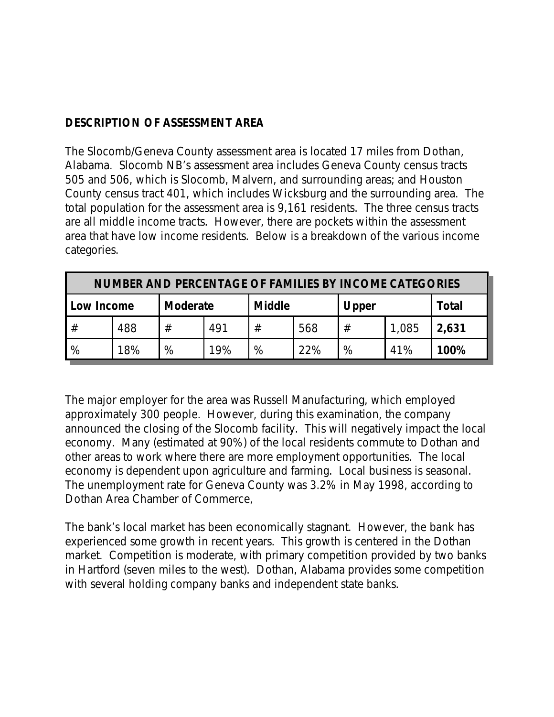#### **DESCRIPTION OF ASSESSMENT AREA**

The Slocomb/Geneva County assessment area is located 17 miles from Dothan, Alabama. Slocomb NB's assessment area includes Geneva County census tracts 505 and 506, which is Slocomb, Malvern, and surrounding areas; and Houston County census tract 401, which includes Wicksburg and the surrounding area. The total population for the assessment area is 9,161 residents. The three census tracts are all middle income tracts. However, there are pockets within the assessment area that have low income residents. Below is a breakdown of the various income categories.

| <b>NUMBER AND PERCENTAGE OF FAMILIES BY INCOME CATEGORIES</b> |     |   |                 |   |               |   |       |       |
|---------------------------------------------------------------|-----|---|-----------------|---|---------------|---|-------|-------|
| Low Income                                                    |     |   | <b>Moderate</b> |   | <b>Middle</b> |   | Upper |       |
|                                                               | 488 | # | 491             | # | 568           | # | 1,085 | 2,631 |
| %                                                             | 18% | % | 19%             | % | 22%           | % | 41%   | 100%  |

The major employer for the area was Russell Manufacturing, which employed approximately 300 people. However, during this examination, the company announced the closing of the Slocomb facility. This will negatively impact the local economy. Many (estimated at 90%) of the local residents commute to Dothan and other areas to work where there are more employment opportunities. The local economy is dependent upon agriculture and farming. Local business is seasonal. The unemployment rate for Geneva County was 3.2% in May 1998, according to Dothan Area Chamber of Commerce,

The bank's local market has been economically stagnant. However, the bank has experienced some growth in recent years. This growth is centered in the Dothan market. Competition is moderate, with primary competition provided by two banks in Hartford (seven miles to the west). Dothan, Alabama provides some competition with several holding company banks and independent state banks.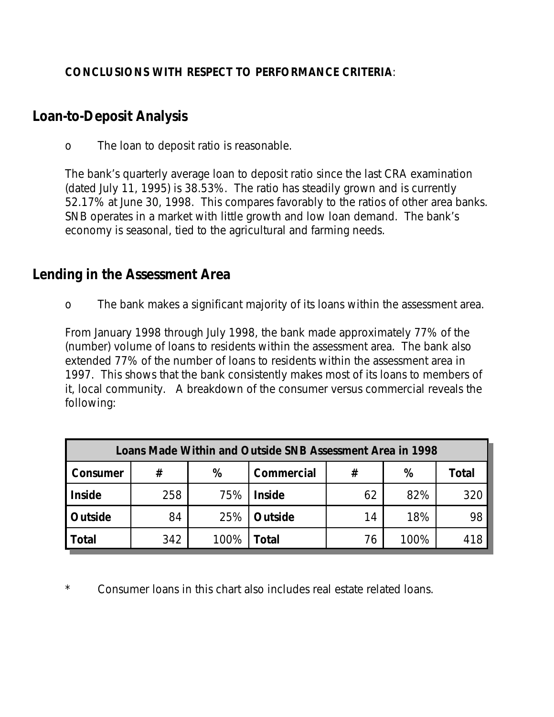#### **CONCLUSIONS WITH RESPECT TO PERFORMANCE CRITERIA**:

## **Loan-to-Deposit Analysis**

o The loan to deposit ratio is reasonable.

The bank's quarterly average loan to deposit ratio since the last CRA examination (dated July 11, 1995) is 38.53%. The ratio has steadily grown and is currently 52.17% at June 30, 1998. This compares favorably to the ratios of other area banks. SNB operates in a market with little growth and low loan demand. The bank's economy is seasonal, tied to the agricultural and farming needs.

### **Lending in the Assessment Area**

o The bank makes a significant majority of its loans within the assessment area.

From January 1998 through July 1998, the bank made approximately 77% of the (number) volume of loans to residents within the assessment area. The bank also extended 77% of the number of loans to residents within the assessment area in 1997. This shows that the bank consistently makes most of its loans to members of it, local community. A breakdown of the consumer versus commercial reveals the following:

| Loans Made Within and Outside SNB Assessment Area in 1998 |     |      |                |    |      |       |  |  |
|-----------------------------------------------------------|-----|------|----------------|----|------|-------|--|--|
| Consumer                                                  | #   | %    | Commercial     | #  | %    | Total |  |  |
| <b>Inside</b>                                             | 258 | 75%  | <b>Inside</b>  | 62 | 82%  | 320   |  |  |
| Outside                                                   | 84  | 25%  | <b>Outside</b> | 14 | 18%  | 98    |  |  |
| <b>Total</b>                                              | 342 | 100% | Total          | 76 | 100% | 418   |  |  |

Consumer loans in this chart also includes real estate related loans.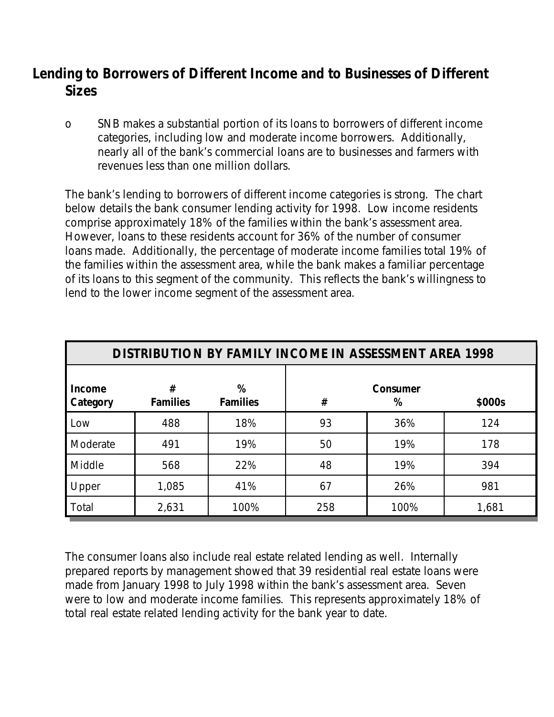# **Lending to Borrowers of Different Income and to Businesses of Different Sizes**

o SNB makes a substantial portion of its loans to borrowers of different income categories, including low and moderate income borrowers. Additionally, nearly all of the bank's commercial loans are to businesses and farmers with revenues less than one million dollars.

The bank's lending to borrowers of different income categories is strong. The chart below details the bank consumer lending activity for 1998. Low income residents comprise approximately 18% of the families within the bank's assessment area. However, loans to these residents account for 36% of the number of consumer loans made. Additionally, the percentage of moderate income families total 19% of the families within the assessment area, while the bank makes a familiar percentage of its loans to this segment of the community. This reflects the bank's willingness to lend to the lower income segment of the assessment area.

| <b>DISTRIBUTION BY FAMILY INCOME IN ASSESSMENT AREA 1998</b> |                      |                      |                              |      |       |  |  |
|--------------------------------------------------------------|----------------------|----------------------|------------------------------|------|-------|--|--|
| Income<br>Category                                           | #<br><b>Families</b> | %<br><b>Families</b> | Consumer<br>#<br>\$000s<br>℅ |      |       |  |  |
| Low                                                          | 488                  | 18%                  | 93                           | 36%  | 124   |  |  |
| Moderate                                                     | 491                  | 19%                  | 50                           | 19%  | 178   |  |  |
| Middle                                                       | 568                  | 22%                  | 48                           | 19%  | 394   |  |  |
| Upper                                                        | 1,085                | 41%                  | 67                           | 26%  | 981   |  |  |
| Total                                                        | 2,631                | 100%                 | 258                          | 100% | 1,681 |  |  |

The consumer loans also include real estate related lending as well. Internally prepared reports by management showed that 39 residential real estate loans were made from January 1998 to July 1998 within the bank's assessment area. Seven were to low and moderate income families. This represents approximately 18% of total real estate related lending activity for the bank year to date.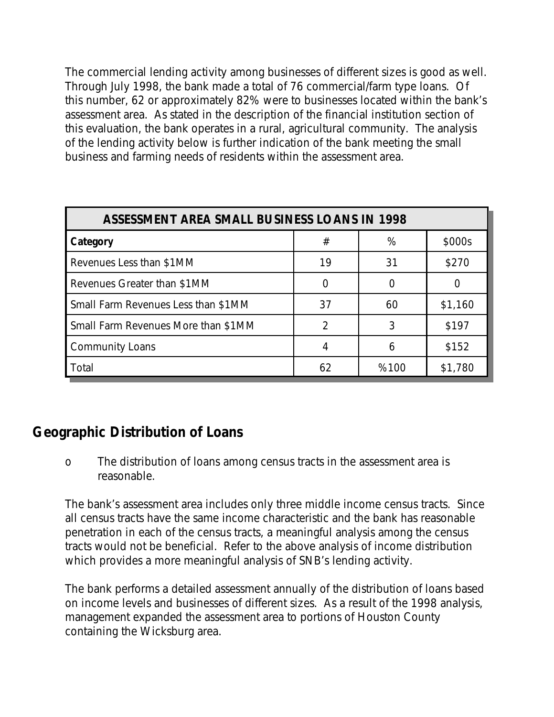The commercial lending activity among businesses of different sizes is good as well. Through July 1998, the bank made a total of 76 commercial/farm type loans. Of this number, 62 or approximately 82% were to businesses located within the bank's assessment area. As stated in the description of the financial institution section of this evaluation, the bank operates in a rural, agricultural community. The analysis of the lending activity below is further indication of the bank meeting the small business and farming needs of residents within the assessment area.

| ASSESSMENT AREA SMALL BUSINESS LOANS IN 1998 |    |      |         |  |  |  |  |
|----------------------------------------------|----|------|---------|--|--|--|--|
| Category                                     | #  | %    | \$000s  |  |  |  |  |
| Revenues Less than \$1MM                     | 19 | 31   | \$270   |  |  |  |  |
| Revenues Greater than \$1MM                  |    |      |         |  |  |  |  |
| Small Farm Revenues Less than \$1MM          | 37 | 60   | \$1,160 |  |  |  |  |
| Small Farm Revenues More than \$1MM          | っ  | २    | \$197   |  |  |  |  |
| <b>Community Loans</b>                       |    |      | \$152   |  |  |  |  |
| Total                                        | 62 | %100 | \$1,780 |  |  |  |  |

# **Geographic Distribution of Loans**

o The distribution of loans among census tracts in the assessment area is reasonable.

The bank's assessment area includes only three middle income census tracts. Since all census tracts have the same income characteristic and the bank has reasonable penetration in each of the census tracts, a meaningful analysis among the census tracts would not be beneficial. Refer to the above analysis of income distribution which provides a more meaningful analysis of SNB's lending activity.

The bank performs a detailed assessment annually of the distribution of loans based on income levels and businesses of different sizes. As a result of the 1998 analysis, management expanded the assessment area to portions of Houston County containing the Wicksburg area.